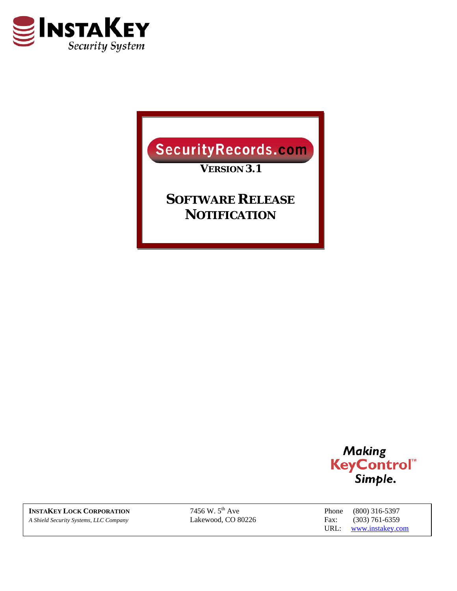

Security Records.com

*VERSION 3.1* 

*SOFTWARE RELEASE NOTIFICATION*



**INSTAKEY LOCK CORPORATION** 7456 W. 5<sup>th</sup> Ave Phone (800) 316-5397<br> *A Shield Security Systems, LLC Company* Lakewood, CO 80226 Fax: (303) 761-6359 *A Shield Security Systems, LLC Company* Lakewood, CO 80226 Fax: (303) 761-6359

URL: www.instakey.com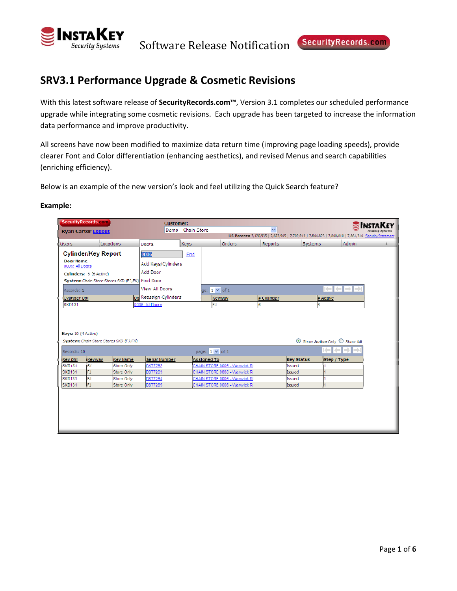

# **SRV3.1 Performance Upgrade & Cosmetic Revisions**

With this latest software release of **SecurityRecords.com™**, Version 3.1 completes our scheduled performance upgrade while integrating some cosmetic revisions. Each upgrade has been targeted to increase the information data performance and improve productivity.

All screens have now been modified to maximize data return time (improving page loading speeds), provide clearer Font and Color differentiation (enhancing aesthetics), and revised Menus and search capabilities (enriching efficiency).

Below is an example of the new version's look and feel utilizing the Quick Search feature?

|                                | SecurityRecords.com        |                                                  | <b>Customer:</b>      | Demo - Chain Store |                               | w              |                   |                                                                                                      |  |
|--------------------------------|----------------------------|--------------------------------------------------|-----------------------|--------------------|-------------------------------|----------------|-------------------|------------------------------------------------------------------------------------------------------|--|
|                                | <b>Ryan Carter Logout</b>  |                                                  |                       |                    |                               |                |                   | US Patents: 7,120,935   7,653,945   7,702,913   7,844,823   7,840,010   7,861,314 Security/Statement |  |
| Users                          |                            | Locations                                        | Doors                 | Keys               | Orders                        | <b>Reports</b> | Systems           | Admin                                                                                                |  |
|                                | <b>Cylinder/Key Report</b> |                                                  | 0006                  | Find               |                               |                |                   |                                                                                                      |  |
| <b>Door Name</b>               |                            |                                                  | Add Keys/Cylinders    |                    |                               |                |                   |                                                                                                      |  |
| 0006: All Doors                |                            |                                                  | Add Door              |                    |                               |                |                   |                                                                                                      |  |
|                                | Cylinders: 6 (6 Active)    | System: Chain Store Stores SKD (FJ,FK) Find Door |                       |                    |                               |                |                   |                                                                                                      |  |
|                                |                            |                                                  | <b>View All Doors</b> |                    |                               |                |                   | ▏▓▅▌▓▅▌▅⋟▐▅⋟                                                                                         |  |
| Records: 1                     |                            |                                                  |                       |                    | ge: $1 \vee$ of 1             |                |                   |                                                                                                      |  |
| Cylinder Bill<br><b>SKD131</b> |                            |                                                  | Do Reassign Cylinders |                    | Keyway<br>FJ                  | # Cylinder     |                   | # Active                                                                                             |  |
|                                |                            |                                                  | 0006: All Doors       |                    |                               | 6              | 16                |                                                                                                      |  |
|                                |                            |                                                  |                       |                    |                               |                |                   |                                                                                                      |  |
|                                |                            |                                                  |                       |                    |                               |                |                   |                                                                                                      |  |
| Keys: 10 (4 Active)            |                            |                                                  |                       |                    |                               |                |                   |                                                                                                      |  |
|                                |                            | System: Chain Store Stores SKD (FJ,FK)           |                       |                    |                               |                |                   | $\odot$ Show Active Only $\bigcirc$ Show All                                                         |  |
| Records: 10                    |                            |                                                  |                       |                    | page: $1 \vee$ of 1           |                |                   | ۰<br>mB.                                                                                             |  |
| <b>Key DIII</b>                | Keyway                     | <b>Key Name</b>                                  | Serial Number         |                    | Assigned To                   |                | <b>Key Status</b> | Step / Type                                                                                          |  |
| <b>SKD131</b>                  | FJ                         | Store Only                                       | D877262               |                    | CHAIN STORE 0006 - Warwick RI |                | Issued            |                                                                                                      |  |
| <b>SKD131</b>                  | FJ                         | Store Only                                       | D877263               |                    | CHAIN STORE 0006 - Warwick RI |                | Issued            |                                                                                                      |  |
| <b>SKD131</b>                  | lΕJ                        | <b>Store Only</b>                                | D877264               |                    | CHAIN STORE 0006 - Warwick RI |                | Issued            |                                                                                                      |  |
| SKD131                         | FJ                         | Store Only                                       | D877265               |                    | CHAIN STORE 0006 - Warwick RI |                | Issued            |                                                                                                      |  |
|                                |                            |                                                  |                       |                    |                               |                |                   |                                                                                                      |  |
|                                |                            |                                                  |                       |                    |                               |                |                   |                                                                                                      |  |
|                                |                            |                                                  |                       |                    |                               |                |                   |                                                                                                      |  |
|                                |                            |                                                  |                       |                    |                               |                |                   |                                                                                                      |  |
|                                |                            |                                                  |                       |                    |                               |                |                   |                                                                                                      |  |
|                                |                            |                                                  |                       |                    |                               |                |                   |                                                                                                      |  |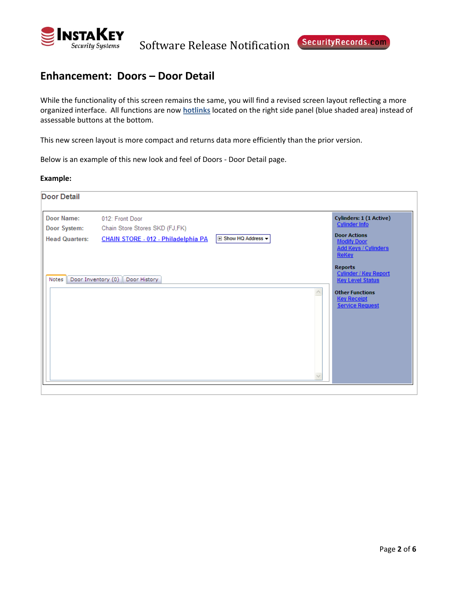

# **Enhancement: Doors – Door Detail**

While the functionality of this screen remains the same, you will find a revised screen layout reflecting a more organized interface. All functions are now **hotlinks** located on the right side panel (blue shaded area) instead of assessable buttons at the bottom.

This new screen layout is more compact and returns data more efficiently than the prior version.

Below is an example of this new look and feel of Doors ‐ Door Detail page.

| <b>Door Detail</b>                                  |                                                                                          |                            |                                                                                                                                                     |
|-----------------------------------------------------|------------------------------------------------------------------------------------------|----------------------------|-----------------------------------------------------------------------------------------------------------------------------------------------------|
| Door Name:<br>Door System:<br><b>Head Quarters:</b> | 012: Front Door<br>Chain Store Stores SKD (FJ,FK)<br>CHAIN STORE - 012 - Philadelphia PA | <b>E Show HQ Address ▼</b> | Cylinders: 1 (1 Active)<br>Cylinder Info<br><b>Door Actions</b><br><b>Modify Door</b><br><b>Add Keys / Cylinders</b><br>ReKey                       |
| Notes                                               | Door Inventory (0)<br>Door History                                                       |                            | <b>Reports</b><br><b>Cylinder / Key Report</b><br><b>Key Level Status</b><br><b>Other Functions</b><br><b>Key Receipt</b><br><b>Service Request</b> |
|                                                     |                                                                                          |                            |                                                                                                                                                     |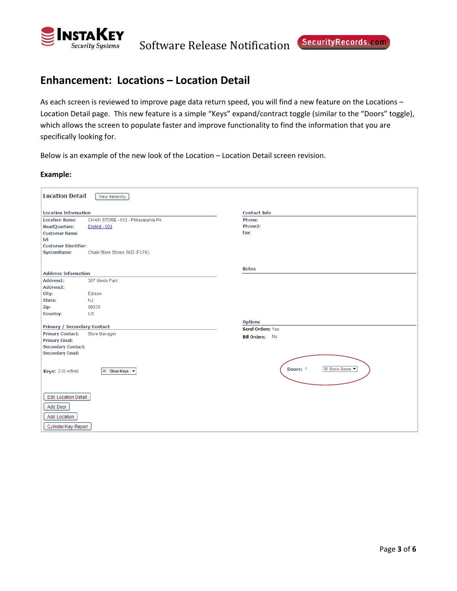

# **Enhancement: Locations – Location Detail**

As each screen is reviewed to improve page data return speed, you will find a new feature on the Locations – Location Detail page. This new feature is a simple "Keys" expand/contract toggle (similar to the "Doors" toggle), which allows the screen to populate faster and improve functionality to find the information that you are specifically looking for.

Below is an example of the new look of the Location – Location Detail screen revision.

| <b>Location Detail</b>                                                  | View Heirarchy                      |                                  |
|-------------------------------------------------------------------------|-------------------------------------|----------------------------------|
| <b>Location Information</b>                                             |                                     | <b>Contact Info</b>              |
| <b>Location Name:</b>                                                   | CHAIN STORE - 012 - Philadelphia PA | Phone:                           |
| <b>HeadQuarters:</b>                                                    | District - 003                      | Phone2:                          |
| <b>Customer Name:</b>                                                   |                                     | Fax:                             |
| lvl:                                                                    |                                     |                                  |
| <b>Customer Identifier:</b>                                             |                                     |                                  |
| <b>SystemName:</b>                                                      | Chain Store Stores SKD (FJ,FK)      |                                  |
|                                                                         |                                     |                                  |
| <b>Address Information</b>                                              |                                     | <b>Notes</b>                     |
| Address1:                                                               | 307 Menlo Park                      |                                  |
| Address2:                                                               |                                     |                                  |
| City:                                                                   | Edison                              |                                  |
| State:                                                                  | <b>NJ</b>                           |                                  |
| Zip:                                                                    | 08830                               |                                  |
| Country:                                                                | US                                  |                                  |
|                                                                         |                                     | <b>Options</b>                   |
| <b>Primary / Secondary Contact</b>                                      |                                     | Send Orders: Yes                 |
| <b>Primary Contact:</b>                                                 | Store Manager                       | <b>Bill Orders: No</b>           |
| <b>Primary Email:</b>                                                   |                                     |                                  |
| <b>Secondary Contact:</b>                                               |                                     |                                  |
| <b>Secondary Email:</b>                                                 |                                     |                                  |
| Keys: 2 (0 Active)                                                      | El Show Keys                        | <b>El Show Doors</b><br>Doors: 1 |
| Edit Location Detail<br>Add Door<br>Add Location<br>Cylinder/Key Report |                                     |                                  |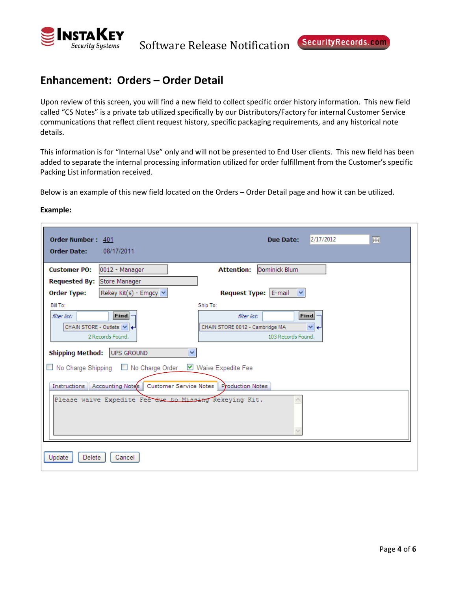

# **Enhancement: Orders – Order Detail**

Upon review of this screen, you will find a new field to collect specific order history information. This new field called "CS Notes" is a private tab utilized specifically by our Distributors/Factory for internal Customer Service communications that reflect client request history, specific packaging requirements, and any historical note details.

This information is for "Internal Use" only and will not be presented to End User clients. This new field has been added to separate the internal processing information utilized for order fulfillment from the Customer's specific Packing List information received.

Below is an example of this new field located on the Orders – Order Detail page and how it can be utilized.

| Order Number: 401                                                                                                                                                                                                                                                                                                                | 2/17/2012                                                                                                                     |
|----------------------------------------------------------------------------------------------------------------------------------------------------------------------------------------------------------------------------------------------------------------------------------------------------------------------------------|-------------------------------------------------------------------------------------------------------------------------------|
| <b>Order Date:</b>                                                                                                                                                                                                                                                                                                               | Due Date:                                                                                                                     |
| 08/17/2011                                                                                                                                                                                                                                                                                                                       | 圃                                                                                                                             |
| <b>Customer PO:</b>                                                                                                                                                                                                                                                                                                              | Dominick Blum                                                                                                                 |
| 0012 - Manager                                                                                                                                                                                                                                                                                                                   | <b>Attention:</b>                                                                                                             |
| Requested By: Store Manager                                                                                                                                                                                                                                                                                                      |                                                                                                                               |
| <b>Order Type:</b>                                                                                                                                                                                                                                                                                                               | Request Type: E-mail                                                                                                          |
| Rekey Kit(s) - Emgcy   v                                                                                                                                                                                                                                                                                                         | $\checkmark$                                                                                                                  |
| Bill To:<br>Find<br>filter list:<br>CHAIN STORE - Outlets $  \vee  $<br>2 Records Found.<br><b>Shipping Method:</b><br><b>UPS GROUND</b><br>v<br>□ No Charge Shipping □ No Charge Order<br>Instructions   Accounting Notes   Customer Service Notes   Production Notes<br>Please waive Expedite Fee due to Missing Rekeving Kit. | Ship To:<br>Find<br>filter list:<br>CHAIN STORE 0012 - Cambridge MA<br>$\vee$ +<br>103 Records Found.<br>■ Waive Expedite Fee |
| Update<br>Delete<br>Cancel                                                                                                                                                                                                                                                                                                       |                                                                                                                               |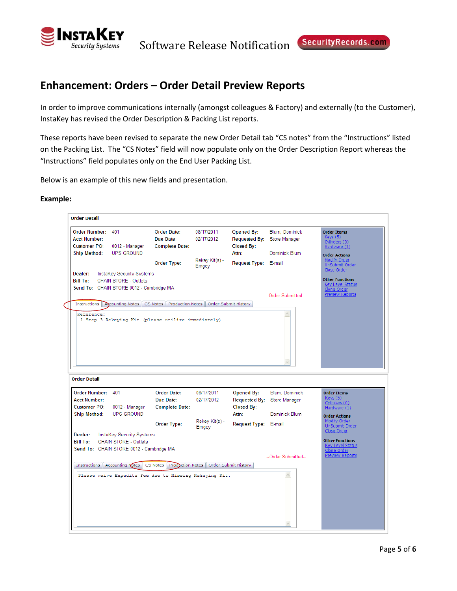

# **Enhancement: Orders – Order Detail Preview Reports**

In order to improve communications internally (amongst colleagues & Factory) and externally (to the Customer), InstaKey has revised the Order Description & Packing List reports.

These reports have been revised to separate the new Order Detail tab "CS notes" from the "Instructions" listed on the Packing List. The "CS Notes" field will now populate only on the Order Description Report whereas the "Instructions" field populates only on the End User Packing List.

Below is an example of this new fields and presentation.

| <b>Order Number:</b><br>401<br>Keys(5)<br>Due Date:<br>02/17/2012<br><b>Acct Number:</b><br>Requested By:<br>Store Manager<br>Cylinders (0)<br><b>Customer PO:</b><br>Closed By:<br>0012 - Manager<br><b>Complete Date:</b><br>Hardware (1)<br><b>Ship Method:</b><br><b>UPS GROUND</b><br>Attn:<br>Dominick Blum<br><b>Order Actions</b><br>Modify Order<br>Rekey Kit(s) -<br>Request Type: E-mail<br><b>Order Type:</b><br>UnSubmit Order<br>Emgcy<br>Close Order<br>Dealer:<br>InstaKey Security Systems<br><b>Other Functions</b><br><b>Bill To:</b><br><b>CHAIN STORE - Outlets</b><br><b>Key Level Status</b><br>Send To: CHAIN STORE 0012 - Cambridge MA<br>Clone Order<br>Preview Reports<br>--Order Submitted--<br>Instructions Ascounting Notes   CS Notes   Production Notes   Order Submit History<br>Reference:<br>۸<br>1 Step 3 Rekeying Kit (please utilize immediately)<br><b>Order Date:</b><br>08/17/2011<br>Blum, Dominick<br><b>Opened By:</b><br><b>Order Items</b><br>Keys(5)<br>Due Date:<br>02/17/2012<br><b>Requested By:</b><br>Store Manager<br>Cylinders (0)<br>Closed By:<br>0012 - Manager<br><b>Complete Date:</b><br>Hardware (1)<br><b>UPS GROUND</b><br>Dominick Blum<br>Attn:<br><b>Order Actions</b><br>Modify Order<br>Rekey Kit(s) -<br>Order Type:<br>Request Type: E-mail<br>UnSubmit Order<br>Emgcy<br>Close Order<br>InstaKey Security Systems<br><b>Other Functions</b><br>CHAIN STORE - Outlets<br><b>Key Level Status</b><br>Clone Order<br>Preview Reports<br>--Order Submitted--<br>Instructions   Accounting Notes   CS Notes   Production Notes   Order Submit History<br>Please waive Expedite Fee due to Missing Rekeying Kit. |                     |                    |            |                   |                |                    |
|-----------------------------------------------------------------------------------------------------------------------------------------------------------------------------------------------------------------------------------------------------------------------------------------------------------------------------------------------------------------------------------------------------------------------------------------------------------------------------------------------------------------------------------------------------------------------------------------------------------------------------------------------------------------------------------------------------------------------------------------------------------------------------------------------------------------------------------------------------------------------------------------------------------------------------------------------------------------------------------------------------------------------------------------------------------------------------------------------------------------------------------------------------------------------------------------------------------------------------------------------------------------------------------------------------------------------------------------------------------------------------------------------------------------------------------------------------------------------------------------------------------------------------------------------------------------------------------------------------------------------------------------------------------------------------------|---------------------|--------------------|------------|-------------------|----------------|--------------------|
|                                                                                                                                                                                                                                                                                                                                                                                                                                                                                                                                                                                                                                                                                                                                                                                                                                                                                                                                                                                                                                                                                                                                                                                                                                                                                                                                                                                                                                                                                                                                                                                                                                                                                   |                     | <b>Order Date:</b> | 08/17/2011 | <b>Opened By:</b> | Blum, Dominick | <b>Order Items</b> |
|                                                                                                                                                                                                                                                                                                                                                                                                                                                                                                                                                                                                                                                                                                                                                                                                                                                                                                                                                                                                                                                                                                                                                                                                                                                                                                                                                                                                                                                                                                                                                                                                                                                                                   |                     |                    |            |                   |                |                    |
|                                                                                                                                                                                                                                                                                                                                                                                                                                                                                                                                                                                                                                                                                                                                                                                                                                                                                                                                                                                                                                                                                                                                                                                                                                                                                                                                                                                                                                                                                                                                                                                                                                                                                   |                     |                    |            |                   |                |                    |
|                                                                                                                                                                                                                                                                                                                                                                                                                                                                                                                                                                                                                                                                                                                                                                                                                                                                                                                                                                                                                                                                                                                                                                                                                                                                                                                                                                                                                                                                                                                                                                                                                                                                                   |                     |                    |            |                   |                |                    |
|                                                                                                                                                                                                                                                                                                                                                                                                                                                                                                                                                                                                                                                                                                                                                                                                                                                                                                                                                                                                                                                                                                                                                                                                                                                                                                                                                                                                                                                                                                                                                                                                                                                                                   |                     |                    |            |                   |                |                    |
|                                                                                                                                                                                                                                                                                                                                                                                                                                                                                                                                                                                                                                                                                                                                                                                                                                                                                                                                                                                                                                                                                                                                                                                                                                                                                                                                                                                                                                                                                                                                                                                                                                                                                   |                     |                    |            |                   |                |                    |
|                                                                                                                                                                                                                                                                                                                                                                                                                                                                                                                                                                                                                                                                                                                                                                                                                                                                                                                                                                                                                                                                                                                                                                                                                                                                                                                                                                                                                                                                                                                                                                                                                                                                                   |                     |                    |            |                   |                |                    |
|                                                                                                                                                                                                                                                                                                                                                                                                                                                                                                                                                                                                                                                                                                                                                                                                                                                                                                                                                                                                                                                                                                                                                                                                                                                                                                                                                                                                                                                                                                                                                                                                                                                                                   |                     |                    |            |                   |                |                    |
|                                                                                                                                                                                                                                                                                                                                                                                                                                                                                                                                                                                                                                                                                                                                                                                                                                                                                                                                                                                                                                                                                                                                                                                                                                                                                                                                                                                                                                                                                                                                                                                                                                                                                   |                     |                    |            |                   |                |                    |
|                                                                                                                                                                                                                                                                                                                                                                                                                                                                                                                                                                                                                                                                                                                                                                                                                                                                                                                                                                                                                                                                                                                                                                                                                                                                                                                                                                                                                                                                                                                                                                                                                                                                                   |                     |                    |            |                   |                |                    |
| <b>Order Detail</b><br>Order Number: 401<br>Send To: CHAIN STORE 0012 - Cambridge MA                                                                                                                                                                                                                                                                                                                                                                                                                                                                                                                                                                                                                                                                                                                                                                                                                                                                                                                                                                                                                                                                                                                                                                                                                                                                                                                                                                                                                                                                                                                                                                                              |                     |                    |            |                   |                |                    |
|                                                                                                                                                                                                                                                                                                                                                                                                                                                                                                                                                                                                                                                                                                                                                                                                                                                                                                                                                                                                                                                                                                                                                                                                                                                                                                                                                                                                                                                                                                                                                                                                                                                                                   |                     |                    |            |                   |                |                    |
|                                                                                                                                                                                                                                                                                                                                                                                                                                                                                                                                                                                                                                                                                                                                                                                                                                                                                                                                                                                                                                                                                                                                                                                                                                                                                                                                                                                                                                                                                                                                                                                                                                                                                   |                     |                    |            |                   |                |                    |
|                                                                                                                                                                                                                                                                                                                                                                                                                                                                                                                                                                                                                                                                                                                                                                                                                                                                                                                                                                                                                                                                                                                                                                                                                                                                                                                                                                                                                                                                                                                                                                                                                                                                                   |                     |                    |            |                   |                |                    |
|                                                                                                                                                                                                                                                                                                                                                                                                                                                                                                                                                                                                                                                                                                                                                                                                                                                                                                                                                                                                                                                                                                                                                                                                                                                                                                                                                                                                                                                                                                                                                                                                                                                                                   |                     |                    |            |                   |                |                    |
|                                                                                                                                                                                                                                                                                                                                                                                                                                                                                                                                                                                                                                                                                                                                                                                                                                                                                                                                                                                                                                                                                                                                                                                                                                                                                                                                                                                                                                                                                                                                                                                                                                                                                   |                     |                    |            |                   |                |                    |
|                                                                                                                                                                                                                                                                                                                                                                                                                                                                                                                                                                                                                                                                                                                                                                                                                                                                                                                                                                                                                                                                                                                                                                                                                                                                                                                                                                                                                                                                                                                                                                                                                                                                                   |                     |                    |            |                   |                |                    |
|                                                                                                                                                                                                                                                                                                                                                                                                                                                                                                                                                                                                                                                                                                                                                                                                                                                                                                                                                                                                                                                                                                                                                                                                                                                                                                                                                                                                                                                                                                                                                                                                                                                                                   |                     |                    |            |                   |                |                    |
|                                                                                                                                                                                                                                                                                                                                                                                                                                                                                                                                                                                                                                                                                                                                                                                                                                                                                                                                                                                                                                                                                                                                                                                                                                                                                                                                                                                                                                                                                                                                                                                                                                                                                   |                     |                    |            |                   |                |                    |
|                                                                                                                                                                                                                                                                                                                                                                                                                                                                                                                                                                                                                                                                                                                                                                                                                                                                                                                                                                                                                                                                                                                                                                                                                                                                                                                                                                                                                                                                                                                                                                                                                                                                                   |                     |                    |            |                   |                |                    |
|                                                                                                                                                                                                                                                                                                                                                                                                                                                                                                                                                                                                                                                                                                                                                                                                                                                                                                                                                                                                                                                                                                                                                                                                                                                                                                                                                                                                                                                                                                                                                                                                                                                                                   |                     |                    |            |                   |                |                    |
| <b>Customer PO:</b><br><b>Ship Method:</b><br>Dealer:<br><b>Bill To:</b>                                                                                                                                                                                                                                                                                                                                                                                                                                                                                                                                                                                                                                                                                                                                                                                                                                                                                                                                                                                                                                                                                                                                                                                                                                                                                                                                                                                                                                                                                                                                                                                                          |                     |                    |            |                   |                |                    |
|                                                                                                                                                                                                                                                                                                                                                                                                                                                                                                                                                                                                                                                                                                                                                                                                                                                                                                                                                                                                                                                                                                                                                                                                                                                                                                                                                                                                                                                                                                                                                                                                                                                                                   |                     |                    |            |                   |                |                    |
|                                                                                                                                                                                                                                                                                                                                                                                                                                                                                                                                                                                                                                                                                                                                                                                                                                                                                                                                                                                                                                                                                                                                                                                                                                                                                                                                                                                                                                                                                                                                                                                                                                                                                   |                     |                    |            |                   |                |                    |
|                                                                                                                                                                                                                                                                                                                                                                                                                                                                                                                                                                                                                                                                                                                                                                                                                                                                                                                                                                                                                                                                                                                                                                                                                                                                                                                                                                                                                                                                                                                                                                                                                                                                                   |                     |                    |            |                   |                |                    |
|                                                                                                                                                                                                                                                                                                                                                                                                                                                                                                                                                                                                                                                                                                                                                                                                                                                                                                                                                                                                                                                                                                                                                                                                                                                                                                                                                                                                                                                                                                                                                                                                                                                                                   |                     |                    |            |                   |                |                    |
|                                                                                                                                                                                                                                                                                                                                                                                                                                                                                                                                                                                                                                                                                                                                                                                                                                                                                                                                                                                                                                                                                                                                                                                                                                                                                                                                                                                                                                                                                                                                                                                                                                                                                   |                     |                    |            |                   |                |                    |
|                                                                                                                                                                                                                                                                                                                                                                                                                                                                                                                                                                                                                                                                                                                                                                                                                                                                                                                                                                                                                                                                                                                                                                                                                                                                                                                                                                                                                                                                                                                                                                                                                                                                                   |                     |                    |            |                   |                |                    |
|                                                                                                                                                                                                                                                                                                                                                                                                                                                                                                                                                                                                                                                                                                                                                                                                                                                                                                                                                                                                                                                                                                                                                                                                                                                                                                                                                                                                                                                                                                                                                                                                                                                                                   |                     |                    |            |                   |                |                    |
|                                                                                                                                                                                                                                                                                                                                                                                                                                                                                                                                                                                                                                                                                                                                                                                                                                                                                                                                                                                                                                                                                                                                                                                                                                                                                                                                                                                                                                                                                                                                                                                                                                                                                   | <b>Acct Number:</b> |                    |            |                   |                |                    |
|                                                                                                                                                                                                                                                                                                                                                                                                                                                                                                                                                                                                                                                                                                                                                                                                                                                                                                                                                                                                                                                                                                                                                                                                                                                                                                                                                                                                                                                                                                                                                                                                                                                                                   |                     |                    |            |                   |                |                    |
|                                                                                                                                                                                                                                                                                                                                                                                                                                                                                                                                                                                                                                                                                                                                                                                                                                                                                                                                                                                                                                                                                                                                                                                                                                                                                                                                                                                                                                                                                                                                                                                                                                                                                   |                     |                    |            |                   |                |                    |
|                                                                                                                                                                                                                                                                                                                                                                                                                                                                                                                                                                                                                                                                                                                                                                                                                                                                                                                                                                                                                                                                                                                                                                                                                                                                                                                                                                                                                                                                                                                                                                                                                                                                                   |                     |                    |            |                   |                |                    |
|                                                                                                                                                                                                                                                                                                                                                                                                                                                                                                                                                                                                                                                                                                                                                                                                                                                                                                                                                                                                                                                                                                                                                                                                                                                                                                                                                                                                                                                                                                                                                                                                                                                                                   |                     |                    |            |                   |                |                    |
|                                                                                                                                                                                                                                                                                                                                                                                                                                                                                                                                                                                                                                                                                                                                                                                                                                                                                                                                                                                                                                                                                                                                                                                                                                                                                                                                                                                                                                                                                                                                                                                                                                                                                   |                     |                    |            |                   |                |                    |
|                                                                                                                                                                                                                                                                                                                                                                                                                                                                                                                                                                                                                                                                                                                                                                                                                                                                                                                                                                                                                                                                                                                                                                                                                                                                                                                                                                                                                                                                                                                                                                                                                                                                                   |                     |                    |            |                   |                |                    |
|                                                                                                                                                                                                                                                                                                                                                                                                                                                                                                                                                                                                                                                                                                                                                                                                                                                                                                                                                                                                                                                                                                                                                                                                                                                                                                                                                                                                                                                                                                                                                                                                                                                                                   |                     |                    |            |                   |                |                    |
|                                                                                                                                                                                                                                                                                                                                                                                                                                                                                                                                                                                                                                                                                                                                                                                                                                                                                                                                                                                                                                                                                                                                                                                                                                                                                                                                                                                                                                                                                                                                                                                                                                                                                   |                     |                    |            |                   |                |                    |
|                                                                                                                                                                                                                                                                                                                                                                                                                                                                                                                                                                                                                                                                                                                                                                                                                                                                                                                                                                                                                                                                                                                                                                                                                                                                                                                                                                                                                                                                                                                                                                                                                                                                                   |                     |                    |            |                   |                |                    |
|                                                                                                                                                                                                                                                                                                                                                                                                                                                                                                                                                                                                                                                                                                                                                                                                                                                                                                                                                                                                                                                                                                                                                                                                                                                                                                                                                                                                                                                                                                                                                                                                                                                                                   |                     |                    |            |                   |                |                    |
|                                                                                                                                                                                                                                                                                                                                                                                                                                                                                                                                                                                                                                                                                                                                                                                                                                                                                                                                                                                                                                                                                                                                                                                                                                                                                                                                                                                                                                                                                                                                                                                                                                                                                   |                     |                    |            |                   |                |                    |